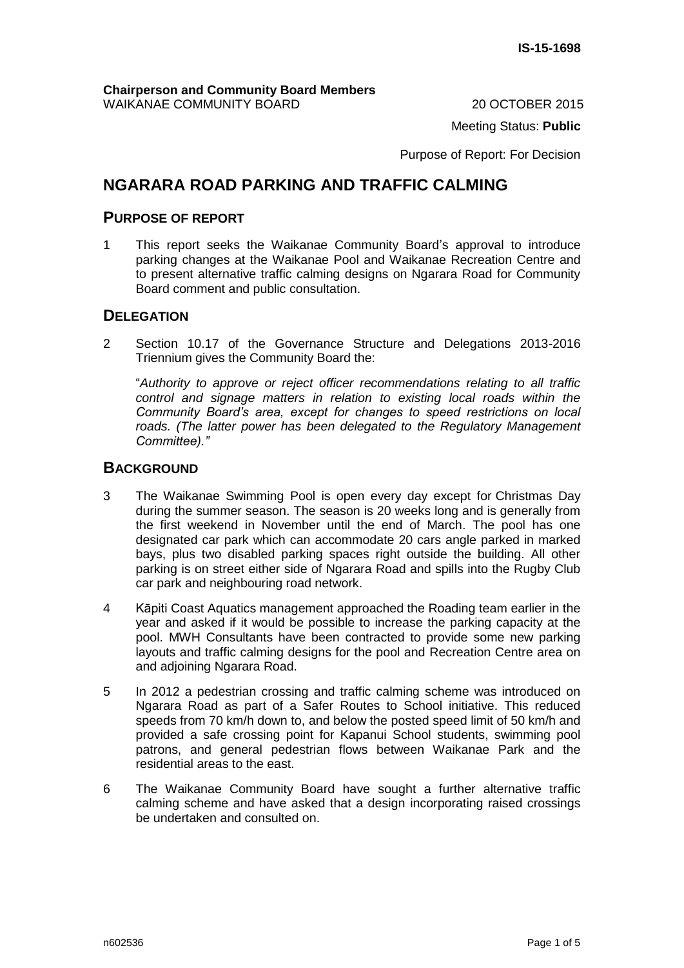Meeting Status: **Public**

Purpose of Report: For Decision

# **NGARARA ROAD PARKING AND TRAFFIC CALMING**

### **PURPOSE OF REPORT**

1 This report seeks the Waikanae Community Board's approval to introduce parking changes at the Waikanae Pool and Waikanae Recreation Centre and to present alternative traffic calming designs on Ngarara Road for Community Board comment and public consultation.

## **DELEGATION**

2 Section 10.17 of the Governance Structure and Delegations 2013-2016 Triennium gives the Community Board the:

"*Authority to approve or reject officer recommendations relating to all traffic control and signage matters in relation to existing local roads within the Community Board's area, except for changes to speed restrictions on local*  roads. (The latter power has been delegated to the Regulatory Management *Committee)."*

## **BACKGROUND**

- 3 The Waikanae Swimming Pool is open every day except for Christmas Day during the summer season. The season is 20 weeks long and is generally from the first weekend in November until the end of March. The pool has one designated car park which can accommodate 20 cars angle parked in marked bays, plus two disabled parking spaces right outside the building. All other parking is on street either side of Ngarara Road and spills into the Rugby Club car park and neighbouring road network.
- 4 Kāpiti Coast Aquatics management approached the Roading team earlier in the year and asked if it would be possible to increase the parking capacity at the pool. MWH Consultants have been contracted to provide some new parking layouts and traffic calming designs for the pool and Recreation Centre area on and adjoining Ngarara Road.
- 5 In 2012 a pedestrian crossing and traffic calming scheme was introduced on Ngarara Road as part of a Safer Routes to School initiative. This reduced speeds from 70 km/h down to, and below the posted speed limit of 50 km/h and provided a safe crossing point for Kapanui School students, swimming pool patrons, and general pedestrian flows between Waikanae Park and the residential areas to the east.
- 6 The Waikanae Community Board have sought a further alternative traffic calming scheme and have asked that a design incorporating raised crossings be undertaken and consulted on.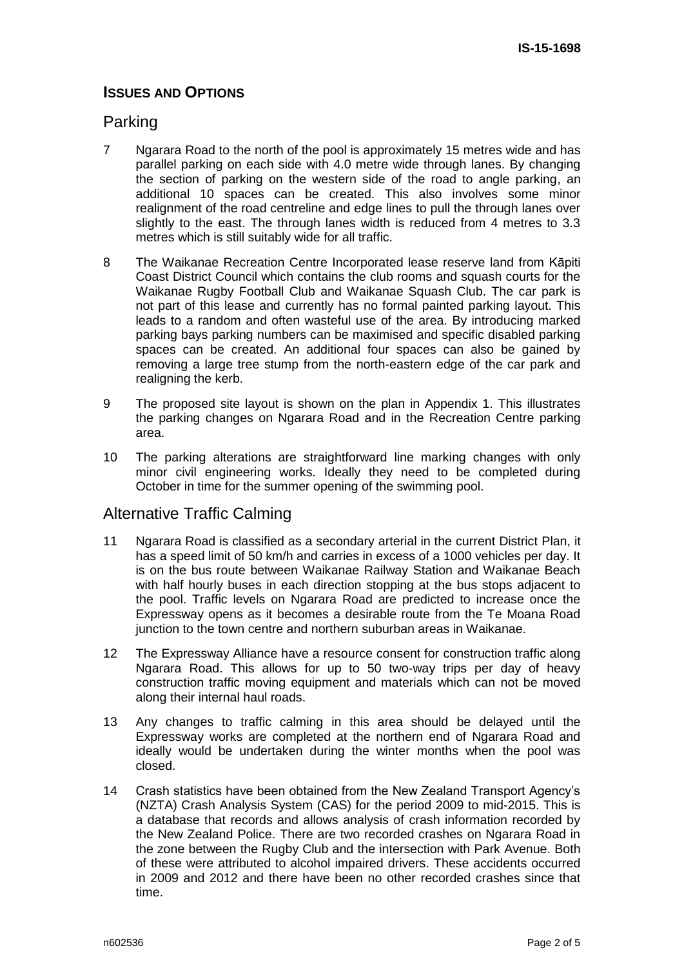# **ISSUES AND OPTIONS**

## Parking

- 7 Ngarara Road to the north of the pool is approximately 15 metres wide and has parallel parking on each side with 4.0 metre wide through lanes. By changing the section of parking on the western side of the road to angle parking, an additional 10 spaces can be created. This also involves some minor realignment of the road centreline and edge lines to pull the through lanes over slightly to the east. The through lanes width is reduced from 4 metres to 3.3 metres which is still suitably wide for all traffic.
- 8 The Waikanae Recreation Centre Incorporated lease reserve land from Kāpiti Coast District Council which contains the club rooms and squash courts for the Waikanae Rugby Football Club and Waikanae Squash Club. The car park is not part of this lease and currently has no formal painted parking layout. This leads to a random and often wasteful use of the area. By introducing marked parking bays parking numbers can be maximised and specific disabled parking spaces can be created. An additional four spaces can also be gained by removing a large tree stump from the north-eastern edge of the car park and realigning the kerb.
- 9 The proposed site layout is shown on the plan in Appendix 1. This illustrates the parking changes on Ngarara Road and in the Recreation Centre parking area.
- 10 The parking alterations are straightforward line marking changes with only minor civil engineering works. Ideally they need to be completed during October in time for the summer opening of the swimming pool.

# Alternative Traffic Calming

- 11 Ngarara Road is classified as a secondary arterial in the current District Plan, it has a speed limit of 50 km/h and carries in excess of a 1000 vehicles per day. It is on the bus route between Waikanae Railway Station and Waikanae Beach with half hourly buses in each direction stopping at the bus stops adjacent to the pool. Traffic levels on Ngarara Road are predicted to increase once the Expressway opens as it becomes a desirable route from the Te Moana Road junction to the town centre and northern suburban areas in Waikanae.
- 12 The Expressway Alliance have a resource consent for construction traffic along Ngarara Road. This allows for up to 50 two-way trips per day of heavy construction traffic moving equipment and materials which can not be moved along their internal haul roads.
- 13 Any changes to traffic calming in this area should be delayed until the Expressway works are completed at the northern end of Ngarara Road and ideally would be undertaken during the winter months when the pool was closed.
- 14 Crash statistics have been obtained from the New Zealand Transport Agency's (NZTA) Crash Analysis System (CAS) for the period 2009 to mid-2015. This is a database that records and allows analysis of crash information recorded by the New Zealand Police. There are two recorded crashes on Ngarara Road in the zone between the Rugby Club and the intersection with Park Avenue. Both of these were attributed to alcohol impaired drivers. These accidents occurred in 2009 and 2012 and there have been no other recorded crashes since that time.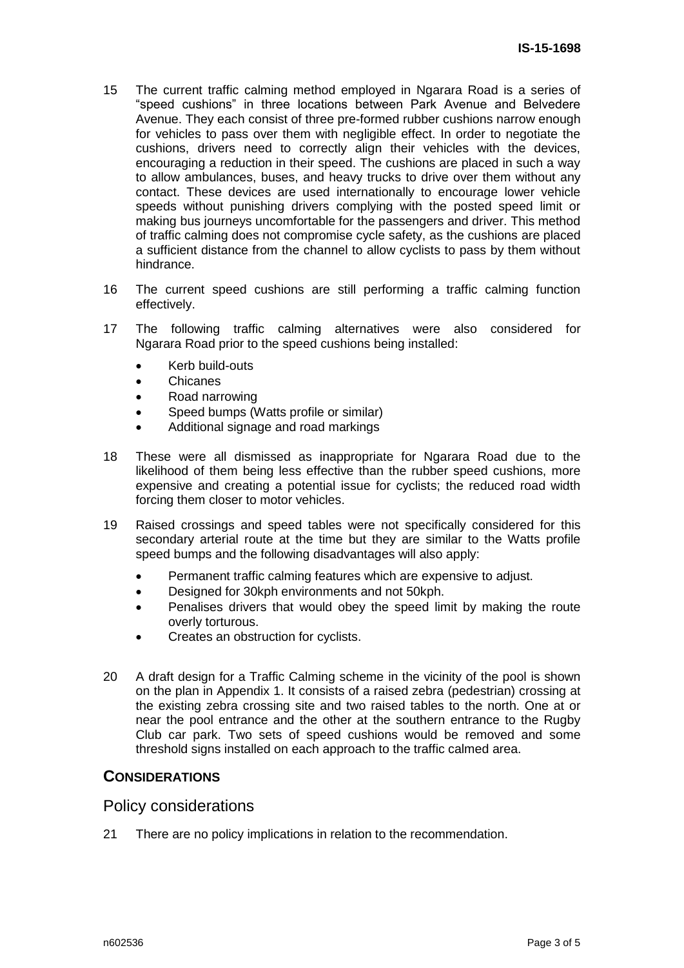- 15 The current traffic calming method employed in Ngarara Road is a series of "speed cushions" in three locations between Park Avenue and Belvedere Avenue. They each consist of three pre-formed rubber cushions narrow enough for vehicles to pass over them with negligible effect. In order to negotiate the cushions, drivers need to correctly align their vehicles with the devices, encouraging a reduction in their speed. The cushions are placed in such a way to allow ambulances, buses, and heavy trucks to drive over them without any contact. These devices are used internationally to encourage lower vehicle speeds without punishing drivers complying with the posted speed limit or making bus journeys uncomfortable for the passengers and driver. This method of traffic calming does not compromise cycle safety, as the cushions are placed a sufficient distance from the channel to allow cyclists to pass by them without hindrance.
- 16 The current speed cushions are still performing a traffic calming function effectively.
- 17 The following traffic calming alternatives were also considered for Ngarara Road prior to the speed cushions being installed:
	- Kerb build-outs
	- Chicanes
	- Road narrowing
	- Speed bumps (Watts profile or similar)
	- Additional signage and road markings
- 18 These were all dismissed as inappropriate for Ngarara Road due to the likelihood of them being less effective than the rubber speed cushions, more expensive and creating a potential issue for cyclists; the reduced road width forcing them closer to motor vehicles.
- 19 Raised crossings and speed tables were not specifically considered for this secondary arterial route at the time but they are similar to the Watts profile speed bumps and the following disadvantages will also apply:
	- Permanent traffic calming features which are expensive to adjust.
	- Designed for 30kph environments and not 50kph.
	- Penalises drivers that would obey the speed limit by making the route overly torturous.
	- Creates an obstruction for cyclists.
- 20 A draft design for a Traffic Calming scheme in the vicinity of the pool is shown on the plan in Appendix 1. It consists of a raised zebra (pedestrian) crossing at the existing zebra crossing site and two raised tables to the north. One at or near the pool entrance and the other at the southern entrance to the Rugby Club car park. Two sets of speed cushions would be removed and some threshold signs installed on each approach to the traffic calmed area.

#### **CONSIDERATIONS**

#### Policy considerations

21 There are no policy implications in relation to the recommendation.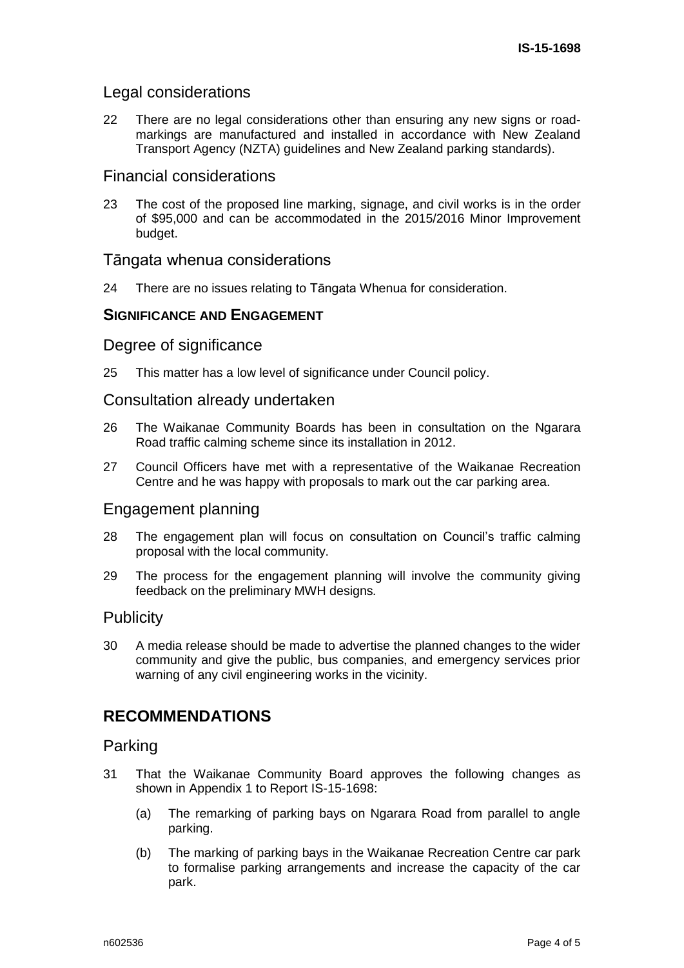## Legal considerations

22 There are no legal considerations other than ensuring any new signs or roadmarkings are manufactured and installed in accordance with New Zealand Transport Agency (NZTA) guidelines and New Zealand parking standards).

## Financial considerations

23 The cost of the proposed line marking, signage, and civil works is in the order of \$95,000 and can be accommodated in the 2015/2016 Minor Improvement budget.

## Tāngata whenua considerations

24 There are no issues relating to Tāngata Whenua for consideration.

## **SIGNIFICANCE AND ENGAGEMENT**

## Degree of significance

25 This matter has a low level of significance under Council policy.

## Consultation already undertaken

- 26 The Waikanae Community Boards has been in consultation on the Ngarara Road traffic calming scheme since its installation in 2012.
- 27 Council Officers have met with a representative of the Waikanae Recreation Centre and he was happy with proposals to mark out the car parking area.

## Engagement planning

- 28 The engagement plan will focus on consultation on Council's traffic calming proposal with the local community.
- 29 The process for the engagement planning will involve the community giving feedback on the preliminary MWH designs*.*

#### **Publicity**

30 A media release should be made to advertise the planned changes to the wider community and give the public, bus companies, and emergency services prior warning of any civil engineering works in the vicinity.

# **RECOMMENDATIONS**

#### Parking

- 31 That the Waikanae Community Board approves the following changes as shown in Appendix 1 to Report IS-15-1698:
	- (a) The remarking of parking bays on Ngarara Road from parallel to angle parking.
	- (b) The marking of parking bays in the Waikanae Recreation Centre car park to formalise parking arrangements and increase the capacity of the car park.